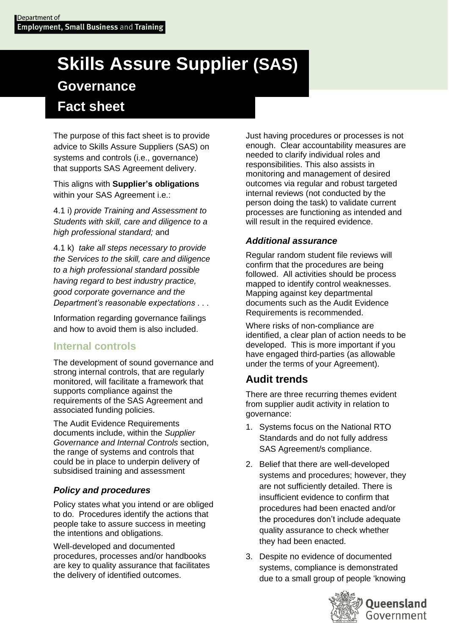# **Skills Assure Supplier (SAS) Governance Fact sheet**

The purpose of this fact sheet is to provide advice to Skills Assure Suppliers (SAS) on systems and controls (i.e., governance) that supports SAS Agreement delivery.

This aligns with **Supplier's obligations** within your SAS Agreement *i.e.*:

4.1 i) *provide Training and Assessment to Students with skill, care and diligence to a high professional standard;* and

4.1 k) *take all steps necessary to provide the Services to the skill, care and diligence to a high professional standard possible having regard to best industry practice, good corporate governance and the Department's reasonable expectations* . . .

Information regarding governance failings and how to avoid them is also included.

# **Internal controls**

The development of sound governance and strong internal controls, that are regularly monitored, will facilitate a framework that supports compliance against the requirements of the SAS Agreement and associated funding policies.

The Audit Evidence Requirements documents include, within the *Supplier Governance and Internal Controls* section, the range of systems and controls that could be in place to underpin delivery of subsidised training and assessment

# *Policy and procedures*

Policy states what you intend or are obliged to do. Procedures identify the actions that people take to assure success in meeting the intentions and obligations.

Well-developed and documented procedures, processes and/or handbooks are key to quality assurance that facilitates the delivery of identified outcomes.

Just having procedures or processes is not enough. Clear accountability measures are needed to clarify individual roles and responsibilities. This also assists in monitoring and management of desired outcomes via regular and robust targeted internal reviews (not conducted by the person doing the task) to validate current processes are functioning as intended and will result in the required evidence.

# *Additional assurance*

Regular random student file reviews will confirm that the procedures are being followed. All activities should be process mapped to identify control weaknesses. Mapping against key departmental documents such as the Audit Evidence Requirements is recommended.

Where risks of non-compliance are identified, a clear plan of action needs to be developed. This is more important if you have engaged third-parties (as allowable under the terms of your Agreement).

# **Audit trends**

There are three recurring themes evident from supplier audit activity in relation to governance:

- 1. Systems focus on the National RTO Standards and do not fully address SAS Agreement/s compliance.
- 2. Belief that there are well-developed systems and procedures; however, they are not sufficiently detailed. There is insufficient evidence to confirm that procedures had been enacted and/or the procedures don't include adequate quality assurance to check whether they had been enacted.
- 3. Despite no evidence of documented systems, compliance is demonstrated due to a small group of people 'knowing